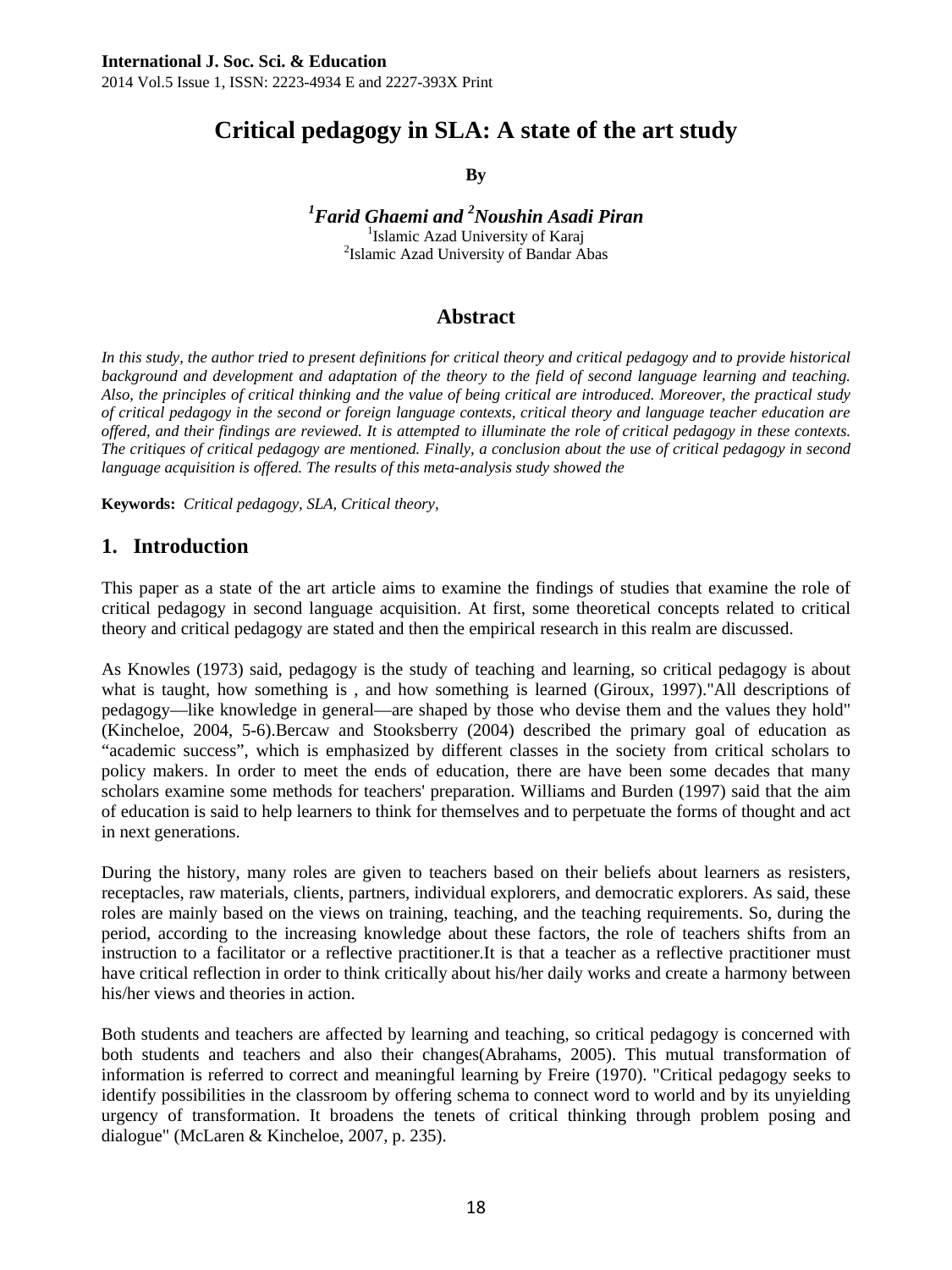# **Critical pedagogy in SLA: A state of the art study**

**By** 

*1 Farid Ghaemi and 2 Noushin Asadi Piran* <sup>1</sup>

<sup>1</sup>Islamic Azad University of Karaj <sup>2</sup>Islamic Azad University of Bandar Abas

# **Abstract**

In this study, the author tried to present definitions for critical theory and critical pedagogy and to provide historical *background and development and adaptation of the theory to the field of second language learning and teaching. Also, the principles of critical thinking and the value of being critical are introduced. Moreover, the practical study of critical pedagogy in the second or foreign language contexts, critical theory and language teacher education are offered, and their findings are reviewed. It is attempted to illuminate the role of critical pedagogy in these contexts. The critiques of critical pedagogy are mentioned. Finally, a conclusion about the use of critical pedagogy in second*  language acquisition is offered. The results of this meta-analysis study showed the

**Keywords:** *Critical pedagogy, SLA, Critical theory,* 

### **1. Introduction**

This paper as a state of the art article aims to examine the findings of studies that examine the role of critical pedagogy in second language acquisition. At first, some theoretical concepts related to critical theory and critical pedagogy are stated and then the empirical research in this realm are discussed.

As Knowles (1973) said, pedagogy is the study of teaching and learning, so critical pedagogy is about what is taught, how something is , and how something is learned (Giroux, 1997)."All descriptions of pedagogy—like knowledge in general—are shaped by those who devise them and the values they hold" (Kincheloe, 2004, 5-6).Bercaw and Stooksberry (2004) described the primary goal of education as "academic success", which is emphasized by different classes in the society from critical scholars to policy makers. In order to meet the ends of education, there are have been some decades that many scholars examine some methods for teachers' preparation. Williams and Burden (1997) said that the aim of education is said to help learners to think for themselves and to perpetuate the forms of thought and act in next generations.

During the history, many roles are given to teachers based on their beliefs about learners as resisters, receptacles, raw materials, clients, partners, individual explorers, and democratic explorers. As said, these roles are mainly based on the views on training, teaching, and the teaching requirements. So, during the period, according to the increasing knowledge about these factors, the role of teachers shifts from an instruction to a facilitator or a reflective practitioner.It is that a teacher as a reflective practitioner must have critical reflection in order to think critically about his/her daily works and create a harmony between his/her views and theories in action.

Both students and teachers are affected by learning and teaching, so critical pedagogy is concerned with both students and teachers and also their changes(Abrahams, 2005). This mutual transformation of information is referred to correct and meaningful learning by Freire (1970). "Critical pedagogy seeks to identify possibilities in the classroom by offering schema to connect word to world and by its unyielding urgency of transformation. It broadens the tenets of critical thinking through problem posing and dialogue" (McLaren & Kincheloe, 2007, p. 235).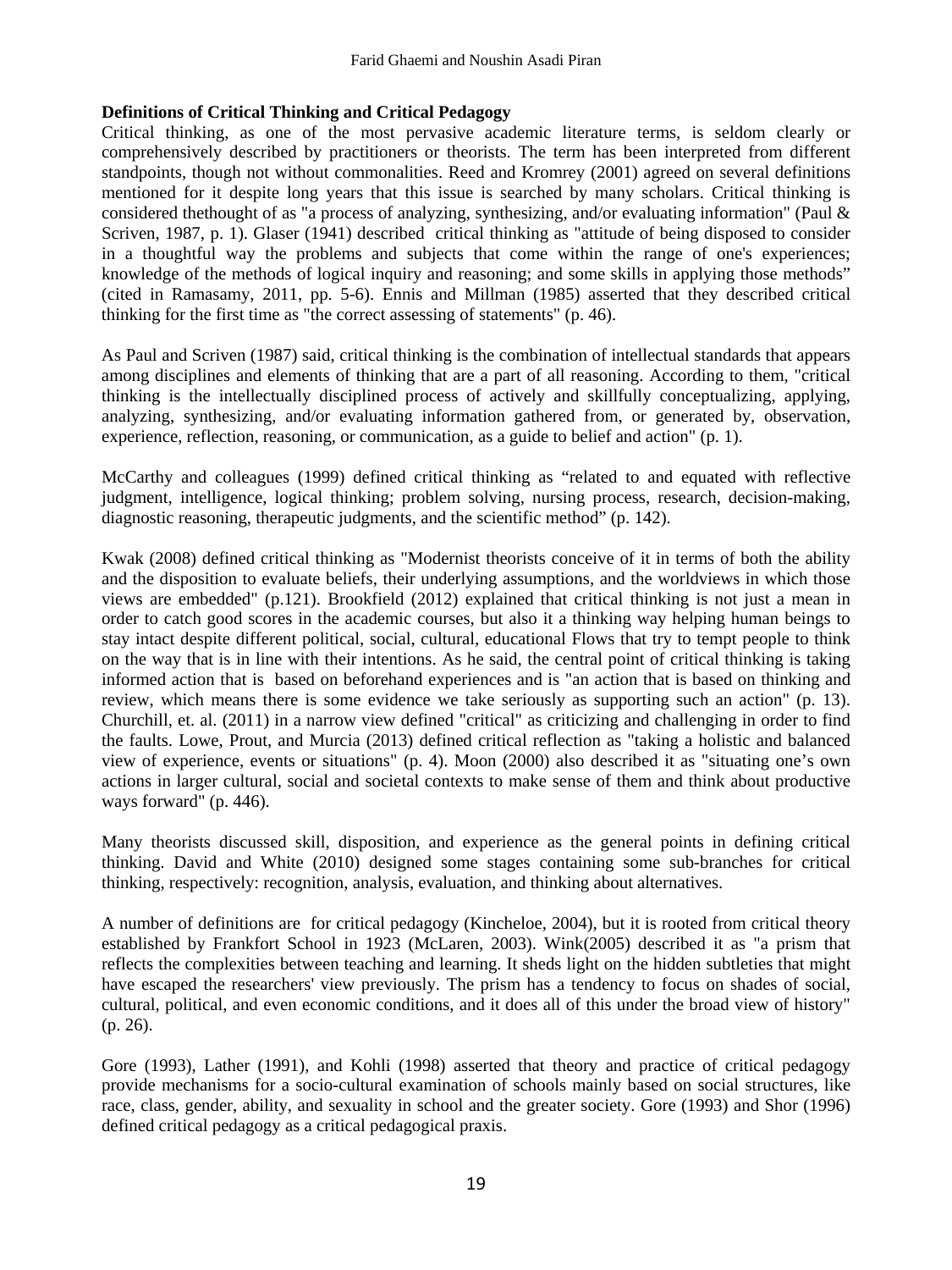#### **Definitions of Critical Thinking and Critical Pedagogy**

Critical thinking, as one of the most pervasive academic literature terms, is seldom clearly or comprehensively described by practitioners or theorists. The term has been interpreted from different standpoints, though not without commonalities. Reed and Kromrey (2001) agreed on several definitions mentioned for it despite long years that this issue is searched by many scholars. Critical thinking is considered thethought of as "a process of analyzing, synthesizing, and/or evaluating information" (Paul & Scriven, 1987, p. 1). Glaser (1941) described critical thinking as "attitude of being disposed to consider in a thoughtful way the problems and subjects that come within the range of one's experiences; knowledge of the methods of logical inquiry and reasoning; and some skills in applying those methods" (cited in Ramasamy, 2011, pp. 5-6). Ennis and Millman (1985) asserted that they described critical thinking for the first time as "the correct assessing of statements" (p. 46).

As Paul and Scriven (1987) said, critical thinking is the combination of intellectual standards that appears among disciplines and elements of thinking that are a part of all reasoning. According to them, "critical thinking is the intellectually disciplined process of actively and skillfully conceptualizing, applying, analyzing, synthesizing, and/or evaluating information gathered from, or generated by, observation, experience, reflection, reasoning, or communication, as a guide to belief and action" (p. 1).

McCarthy and colleagues (1999) defined critical thinking as "related to and equated with reflective judgment, intelligence, logical thinking; problem solving, nursing process, research, decision-making, diagnostic reasoning, therapeutic judgments, and the scientific method" (p. 142).

Kwak (2008) defined critical thinking as "Modernist theorists conceive of it in terms of both the ability and the disposition to evaluate beliefs, their underlying assumptions, and the worldviews in which those views are embedded" (p.121). Brookfield (2012) explained that critical thinking is not just a mean in order to catch good scores in the academic courses, but also it a thinking way helping human beings to stay intact despite different political, social, cultural, educational Flows that try to tempt people to think on the way that is in line with their intentions. As he said, the central point of critical thinking is taking informed action that is based on beforehand experiences and is "an action that is based on thinking and review, which means there is some evidence we take seriously as supporting such an action" (p. 13). Churchill, et. al. (2011) in a narrow view defined "critical" as criticizing and challenging in order to find the faults. Lowe, Prout, and Murcia (2013) defined critical reflection as "taking a holistic and balanced view of experience, events or situations" (p. 4). Moon (2000) also described it as "situating one's own actions in larger cultural, social and societal contexts to make sense of them and think about productive ways forward" (p. 446).

Many theorists discussed skill, disposition, and experience as the general points in defining critical thinking. David and White (2010) designed some stages containing some sub-branches for critical thinking, respectively: recognition, analysis, evaluation, and thinking about alternatives.

A number of definitions are for critical pedagogy (Kincheloe, 2004), but it is rooted from critical theory established by Frankfort School in 1923 (McLaren, 2003). Wink(2005) described it as "a prism that reflects the complexities between teaching and learning. It sheds light on the hidden subtleties that might have escaped the researchers' view previously. The prism has a tendency to focus on shades of social, cultural, political, and even economic conditions, and it does all of this under the broad view of history" (p. 26).

Gore (1993), Lather (1991), and Kohli (1998) asserted that theory and practice of critical pedagogy provide mechanisms for a socio-cultural examination of schools mainly based on social structures, like race, class, gender, ability, and sexuality in school and the greater society. Gore (1993) and Shor (1996) defined critical pedagogy as a critical pedagogical praxis.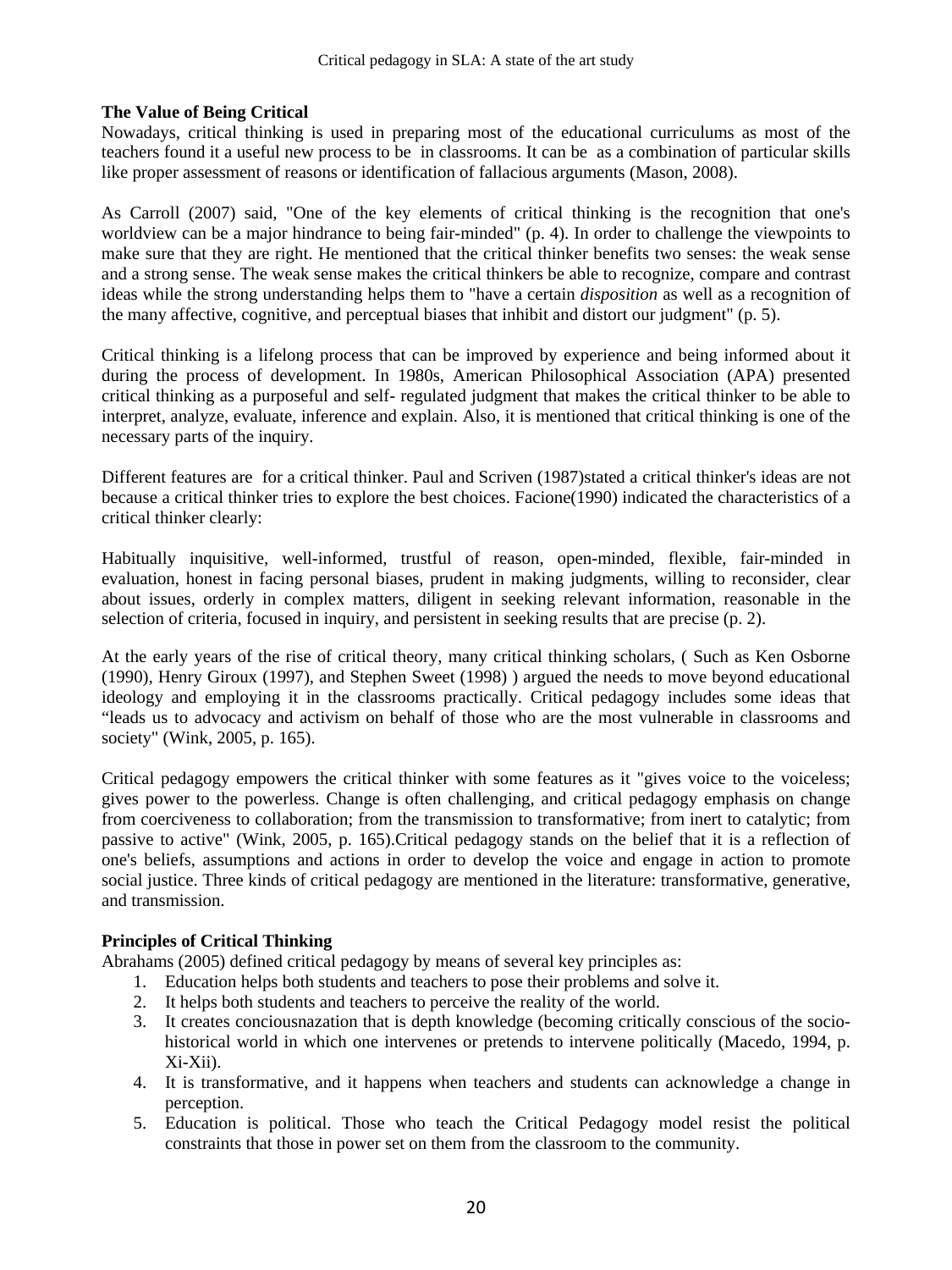#### **The Value of Being Critical**

Nowadays, critical thinking is used in preparing most of the educational curriculums as most of the teachers found it a useful new process to be in classrooms. It can be as a combination of particular skills like proper assessment of reasons or identification of fallacious arguments (Mason, 2008).

As Carroll (2007) said, "One of the key elements of critical thinking is the recognition that one's worldview can be a major hindrance to being fair-minded" (p. 4). In order to challenge the viewpoints to make sure that they are right. He mentioned that the critical thinker benefits two senses: the weak sense and a strong sense. The weak sense makes the critical thinkers be able to recognize, compare and contrast ideas while the strong understanding helps them to "have a certain *disposition* as well as a recognition of the many affective, cognitive, and perceptual biases that inhibit and distort our judgment" (p. 5).

Critical thinking is a lifelong process that can be improved by experience and being informed about it during the process of development. In 1980s, American Philosophical Association (APA) presented critical thinking as a purposeful and self- regulated judgment that makes the critical thinker to be able to interpret, analyze, evaluate, inference and explain. Also, it is mentioned that critical thinking is one of the necessary parts of the inquiry.

Different features are for a critical thinker. Paul and Scriven (1987)stated a critical thinker's ideas are not because a critical thinker tries to explore the best choices. Facione(1990) indicated the characteristics of a critical thinker clearly:

Habitually inquisitive, well-informed, trustful of reason, open-minded, flexible, fair-minded in evaluation, honest in facing personal biases, prudent in making judgments, willing to reconsider, clear about issues, orderly in complex matters, diligent in seeking relevant information, reasonable in the selection of criteria, focused in inquiry, and persistent in seeking results that are precise (p. 2).

At the early years of the rise of critical theory, many critical thinking scholars, ( Such as Ken Osborne (1990), Henry Giroux (1997), and Stephen Sweet (1998) ) argued the needs to move beyond educational ideology and employing it in the classrooms practically. Critical pedagogy includes some ideas that "leads us to advocacy and activism on behalf of those who are the most vulnerable in classrooms and society" (Wink, 2005, p. 165).

Critical pedagogy empowers the critical thinker with some features as it "gives voice to the voiceless; gives power to the powerless. Change is often challenging, and critical pedagogy emphasis on change from coerciveness to collaboration; from the transmission to transformative; from inert to catalytic; from passive to active" (Wink, 2005, p. 165).Critical pedagogy stands on the belief that it is a reflection of one's beliefs, assumptions and actions in order to develop the voice and engage in action to promote social justice. Three kinds of critical pedagogy are mentioned in the literature: transformative, generative, and transmission.

#### **Principles of Critical Thinking**

Abrahams (2005) defined critical pedagogy by means of several key principles as:

- 1. Education helps both students and teachers to pose their problems and solve it.
- 2. It helps both students and teachers to perceive the reality of the world.
- 3. It creates conciousnazation that is depth knowledge (becoming critically conscious of the sociohistorical world in which one intervenes or pretends to intervene politically (Macedo, 1994, p. Xi-Xii).
- 4. It is transformative, and it happens when teachers and students can acknowledge a change in perception.
- 5. Education is political. Those who teach the Critical Pedagogy model resist the political constraints that those in power set on them from the classroom to the community.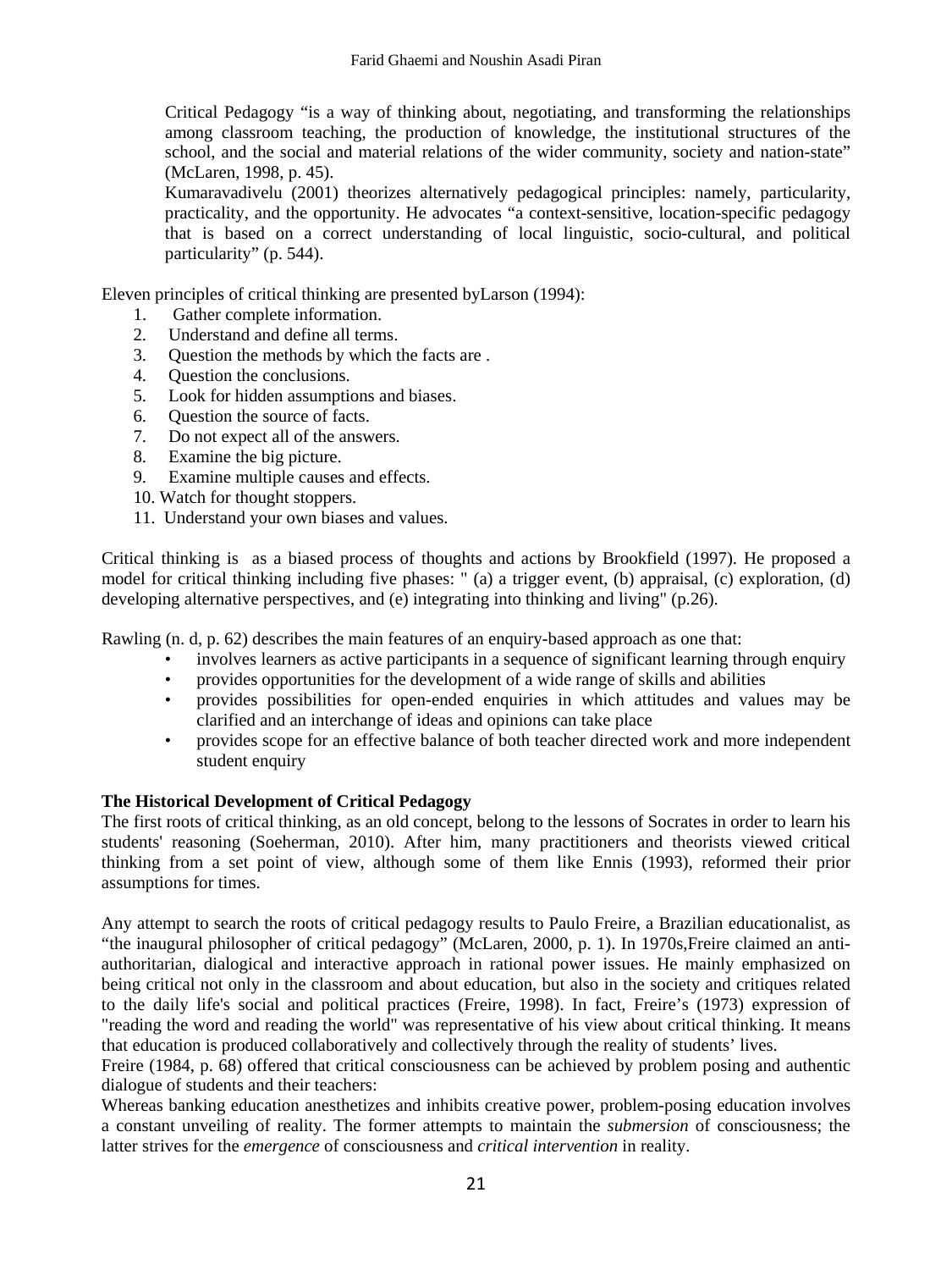Critical Pedagogy "is a way of thinking about, negotiating, and transforming the relationships among classroom teaching, the production of knowledge, the institutional structures of the school, and the social and material relations of the wider community, society and nation-state" (McLaren, 1998, p. 45).

Kumaravadivelu (2001) theorizes alternatively pedagogical principles: namely, particularity, practicality, and the opportunity. He advocates "a context-sensitive, location-specific pedagogy that is based on a correct understanding of local linguistic, socio-cultural, and political particularity" (p. 544).

Eleven principles of critical thinking are presented byLarson (1994):

- 1. Gather complete information.
- 2. Understand and define all terms.
- 3. Question the methods by which the facts are .
- 4. Question the conclusions.
- 5. Look for hidden assumptions and biases.
- 6. Question the source of facts.
- 7. Do not expect all of the answers.
- 8. Examine the big picture.
- 9. Examine multiple causes and effects.
- 10. Watch for thought stoppers.
- 11. Understand your own biases and values.

Critical thinking is as a biased process of thoughts and actions by Brookfield (1997). He proposed a model for critical thinking including five phases: " (a) a trigger event, (b) appraisal, (c) exploration, (d) developing alternative perspectives, and (e) integrating into thinking and living" (p.26).

Rawling (n. d, p. 62) describes the main features of an enquiry-based approach as one that:

- involves learners as active participants in a sequence of significant learning through enquiry
- provides opportunities for the development of a wide range of skills and abilities
- provides possibilities for open-ended enquiries in which attitudes and values may be clarified and an interchange of ideas and opinions can take place
- provides scope for an effective balance of both teacher directed work and more independent student enquiry

#### **The Historical Development of Critical Pedagogy**

The first roots of critical thinking, as an old concept, belong to the lessons of Socrates in order to learn his students' reasoning (Soeherman, 2010). After him, many practitioners and theorists viewed critical thinking from a set point of view, although some of them like Ennis (1993), reformed their prior assumptions for times.

Any attempt to search the roots of critical pedagogy results to Paulo Freire, a Brazilian educationalist, as "the inaugural philosopher of critical pedagogy" (McLaren, 2000, p. 1). In 1970s,Freire claimed an antiauthoritarian, dialogical and interactive approach in rational power issues. He mainly emphasized on being critical not only in the classroom and about education, but also in the society and critiques related to the daily life's social and political practices (Freire, 1998). In fact, Freire's (1973) expression of "reading the word and reading the world" was representative of his view about critical thinking. It means that education is produced collaboratively and collectively through the reality of students' lives.

Freire (1984, p. 68) offered that critical consciousness can be achieved by problem posing and authentic dialogue of students and their teachers:

Whereas banking education anesthetizes and inhibits creative power, problem-posing education involves a constant unveiling of reality. The former attempts to maintain the *submersion* of consciousness; the latter strives for the *emergence* of consciousness and *critical intervention* in reality.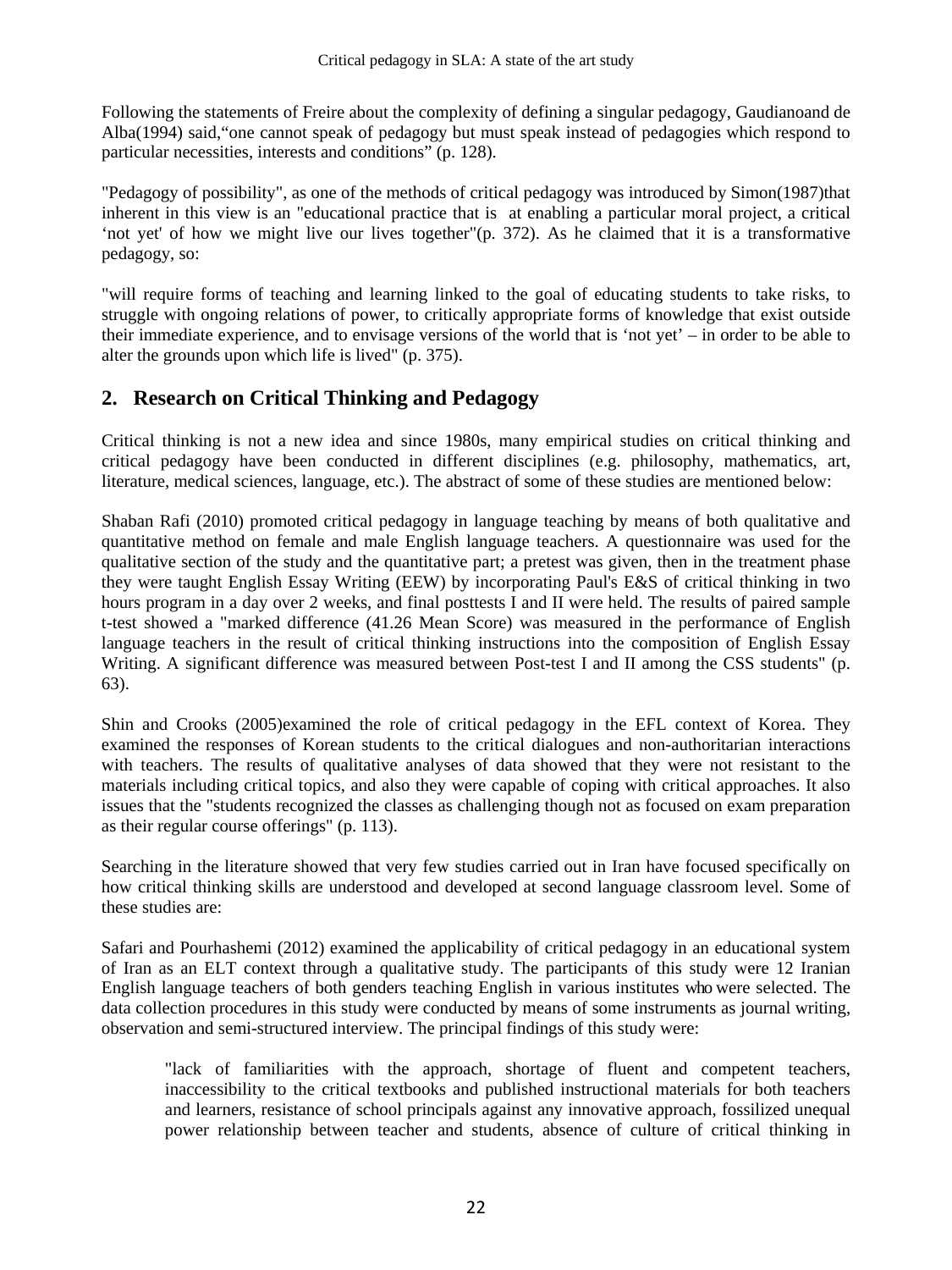Following the statements of Freire about the complexity of defining a singular pedagogy, Gaudianoand de Alba(1994) said,"one cannot speak of pedagogy but must speak instead of pedagogies which respond to particular necessities, interests and conditions" (p. 128).

"Pedagogy of possibility", as one of the methods of critical pedagogy was introduced by Simon(1987)that inherent in this view is an "educational practice that is at enabling a particular moral project, a critical 'not yet' of how we might live our lives together"(p. 372). As he claimed that it is a transformative pedagogy, so:

"will require forms of teaching and learning linked to the goal of educating students to take risks, to struggle with ongoing relations of power, to critically appropriate forms of knowledge that exist outside their immediate experience, and to envisage versions of the world that is 'not yet' – in order to be able to alter the grounds upon which life is lived" (p. 375).

# **2. Research on Critical Thinking and Pedagogy**

Critical thinking is not a new idea and since 1980s, many empirical studies on critical thinking and critical pedagogy have been conducted in different disciplines (e.g. philosophy, mathematics, art, literature, medical sciences, language, etc.). The abstract of some of these studies are mentioned below:

Shaban Rafi (2010) promoted critical pedagogy in language teaching by means of both qualitative and quantitative method on female and male English language teachers. A questionnaire was used for the qualitative section of the study and the quantitative part; a pretest was given, then in the treatment phase they were taught English Essay Writing (EEW) by incorporating Paul's E&S of critical thinking in two hours program in a day over 2 weeks, and final posttests I and II were held. The results of paired sample t-test showed a "marked difference (41.26 Mean Score) was measured in the performance of English language teachers in the result of critical thinking instructions into the composition of English Essay Writing. A significant difference was measured between Post-test I and II among the CSS students" (p. 63).

Shin and Crooks (2005)examined the role of critical pedagogy in the EFL context of Korea. They examined the responses of Korean students to the critical dialogues and non-authoritarian interactions with teachers. The results of qualitative analyses of data showed that they were not resistant to the materials including critical topics, and also they were capable of coping with critical approaches. It also issues that the "students recognized the classes as challenging though not as focused on exam preparation as their regular course offerings" (p. 113).

Searching in the literature showed that very few studies carried out in Iran have focused specifically on how critical thinking skills are understood and developed at second language classroom level. Some of these studies are:

Safari and Pourhashemi (2012) examined the applicability of critical pedagogy in an educational system of Iran as an ELT context through a qualitative study. The participants of this study were 12 Iranian English language teachers of both genders teaching English in various institutes who were selected. The data collection procedures in this study were conducted by means of some instruments as journal writing, observation and semi-structured interview. The principal findings of this study were:

"lack of familiarities with the approach, shortage of fluent and competent teachers, inaccessibility to the critical textbooks and published instructional materials for both teachers and learners, resistance of school principals against any innovative approach, fossilized unequal power relationship between teacher and students, absence of culture of critical thinking in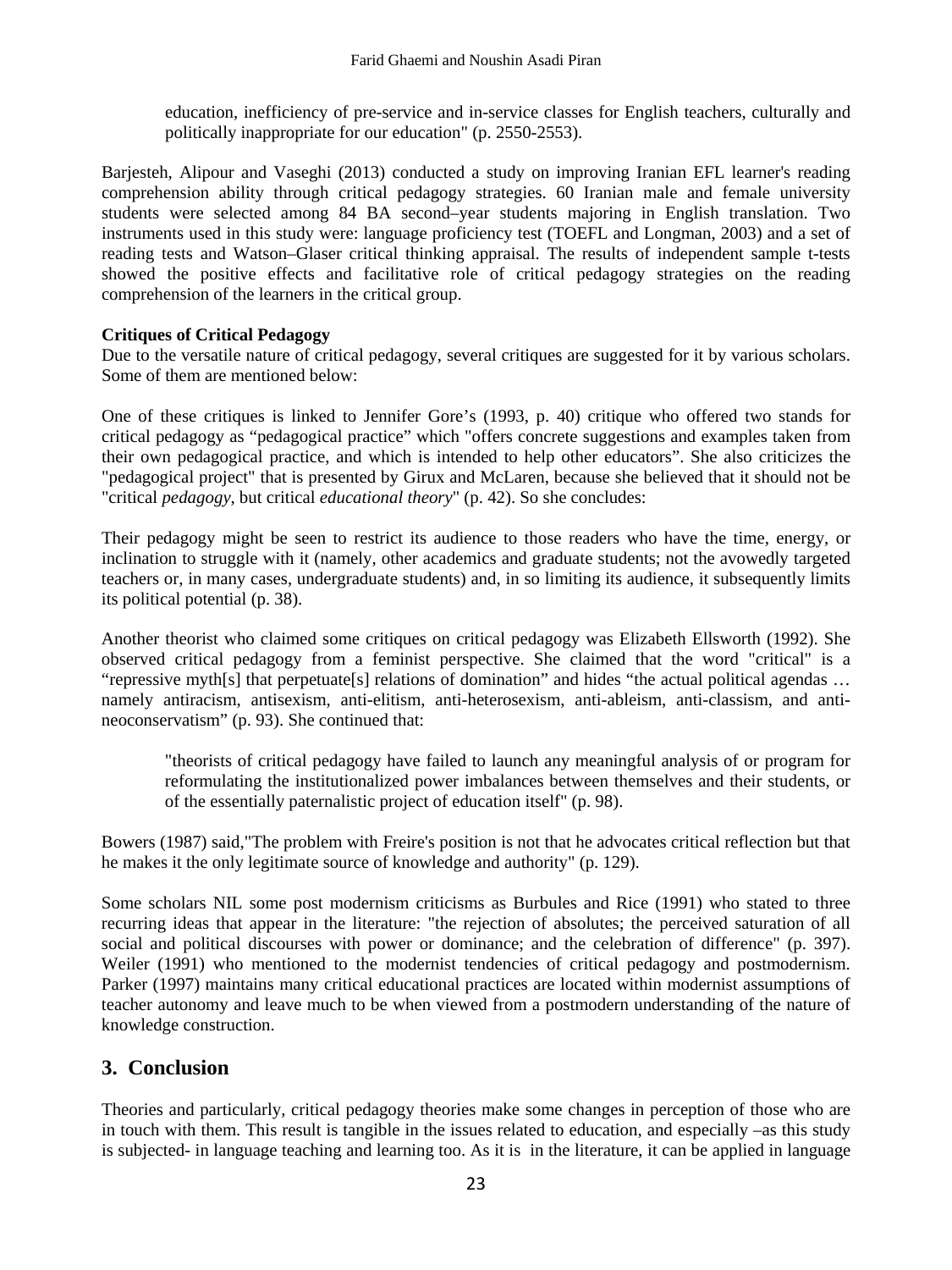education, inefficiency of pre-service and in-service classes for English teachers, culturally and politically inappropriate for our education" (p. 2550-2553).

Barjesteh, Alipour and Vaseghi (2013) conducted a study on improving Iranian EFL learner's reading comprehension ability through critical pedagogy strategies. 60 Iranian male and female university students were selected among 84 BA second–year students majoring in English translation. Two instruments used in this study were: language proficiency test (TOEFL and Longman, 2003) and a set of reading tests and Watson–Glaser critical thinking appraisal. The results of independent sample t-tests showed the positive effects and facilitative role of critical pedagogy strategies on the reading comprehension of the learners in the critical group.

#### **Critiques of Critical Pedagogy**

Due to the versatile nature of critical pedagogy, several critiques are suggested for it by various scholars. Some of them are mentioned below:

One of these critiques is linked to Jennifer Gore's (1993, p. 40) critique who offered two stands for critical pedagogy as "pedagogical practice" which "offers concrete suggestions and examples taken from their own pedagogical practice, and which is intended to help other educators". She also criticizes the "pedagogical project" that is presented by Girux and McLaren, because she believed that it should not be "critical *pedagogy*, but critical *educational theory*" (p. 42). So she concludes:

Their pedagogy might be seen to restrict its audience to those readers who have the time, energy, or inclination to struggle with it (namely, other academics and graduate students; not the avowedly targeted teachers or, in many cases, undergraduate students) and, in so limiting its audience, it subsequently limits its political potential (p. 38).

Another theorist who claimed some critiques on critical pedagogy was Elizabeth Ellsworth (1992). She observed critical pedagogy from a feminist perspective. She claimed that the word "critical" is a "repressive myth[s] that perpetuate[s] relations of domination" and hides "the actual political agendas … namely antiracism, antisexism, anti-elitism, anti-heterosexism, anti-ableism, anti-classism, and antineoconservatism" (p. 93). She continued that:

"theorists of critical pedagogy have failed to launch any meaningful analysis of or program for reformulating the institutionalized power imbalances between themselves and their students, or of the essentially paternalistic project of education itself" (p. 98).

Bowers (1987) said,"The problem with Freire's position is not that he advocates critical reflection but that he makes it the only legitimate source of knowledge and authority" (p. 129).

Some scholars NIL some post modernism criticisms as Burbules and Rice (1991) who stated to three recurring ideas that appear in the literature: "the rejection of absolutes; the perceived saturation of all social and political discourses with power or dominance; and the celebration of difference" (p. 397). Weiler (1991) who mentioned to the modernist tendencies of critical pedagogy and postmodernism. Parker (1997) maintains many critical educational practices are located within modernist assumptions of teacher autonomy and leave much to be when viewed from a postmodern understanding of the nature of knowledge construction.

# **3. Conclusion**

Theories and particularly, critical pedagogy theories make some changes in perception of those who are in touch with them. This result is tangible in the issues related to education, and especially –as this study is subjected- in language teaching and learning too. As it is in the literature, it can be applied in language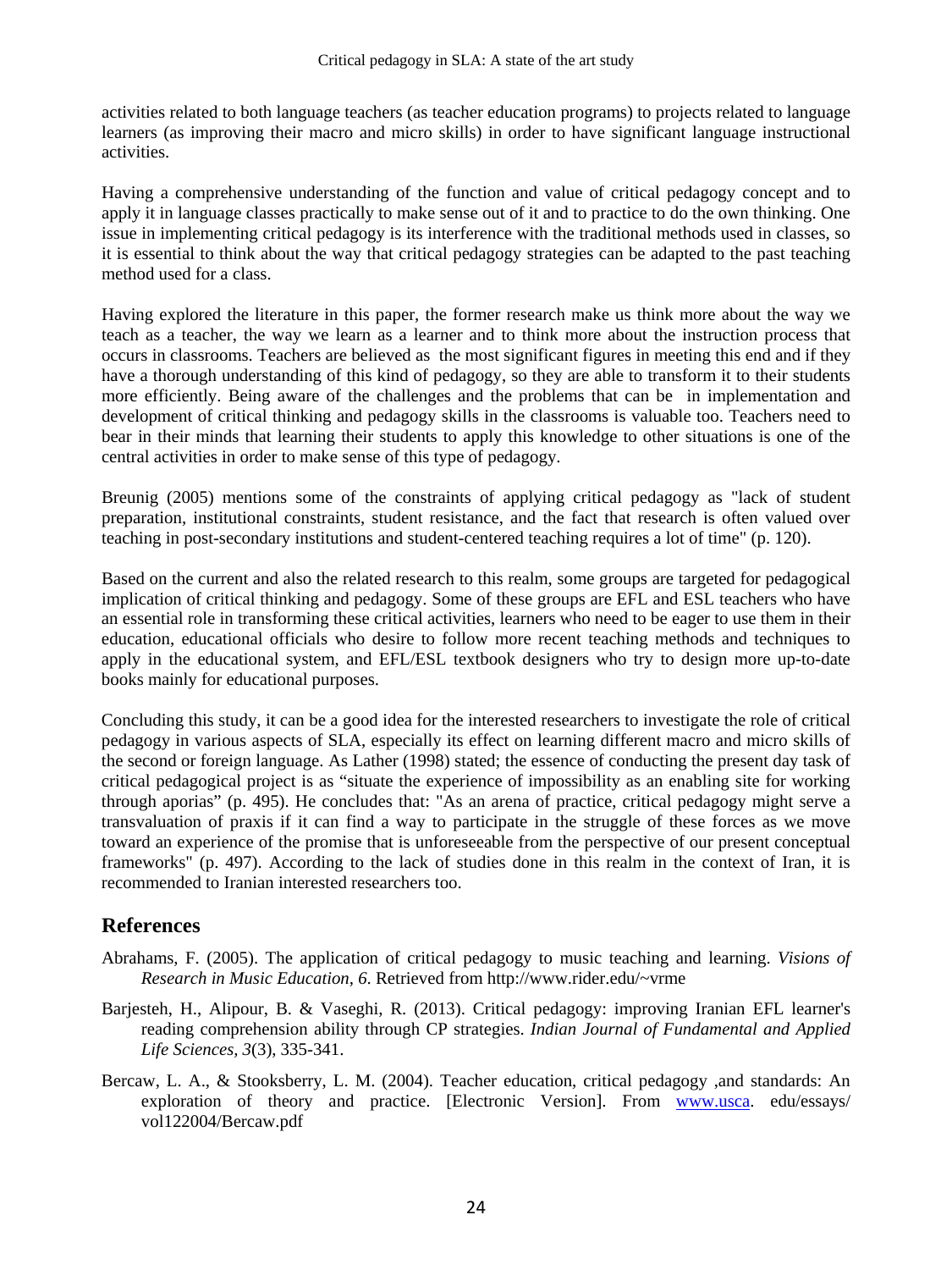activities related to both language teachers (as teacher education programs) to projects related to language learners (as improving their macro and micro skills) in order to have significant language instructional activities.

Having a comprehensive understanding of the function and value of critical pedagogy concept and to apply it in language classes practically to make sense out of it and to practice to do the own thinking. One issue in implementing critical pedagogy is its interference with the traditional methods used in classes, so it is essential to think about the way that critical pedagogy strategies can be adapted to the past teaching method used for a class.

Having explored the literature in this paper, the former research make us think more about the way we teach as a teacher, the way we learn as a learner and to think more about the instruction process that occurs in classrooms. Teachers are believed as the most significant figures in meeting this end and if they have a thorough understanding of this kind of pedagogy, so they are able to transform it to their students more efficiently. Being aware of the challenges and the problems that can be in implementation and development of critical thinking and pedagogy skills in the classrooms is valuable too. Teachers need to bear in their minds that learning their students to apply this knowledge to other situations is one of the central activities in order to make sense of this type of pedagogy.

Breunig (2005) mentions some of the constraints of applying critical pedagogy as "lack of student preparation, institutional constraints, student resistance, and the fact that research is often valued over teaching in post-secondary institutions and student-centered teaching requires a lot of time" (p. 120).

Based on the current and also the related research to this realm, some groups are targeted for pedagogical implication of critical thinking and pedagogy. Some of these groups are EFL and ESL teachers who have an essential role in transforming these critical activities, learners who need to be eager to use them in their education, educational officials who desire to follow more recent teaching methods and techniques to apply in the educational system, and EFL/ESL textbook designers who try to design more up-to-date books mainly for educational purposes.

Concluding this study, it can be a good idea for the interested researchers to investigate the role of critical pedagogy in various aspects of SLA, especially its effect on learning different macro and micro skills of the second or foreign language. As Lather (1998) stated; the essence of conducting the present day task of critical pedagogical project is as "situate the experience of impossibility as an enabling site for working through aporias" (p. 495). He concludes that: "As an arena of practice, critical pedagogy might serve a transvaluation of praxis if it can find a way to participate in the struggle of these forces as we move toward an experience of the promise that is unforeseeable from the perspective of our present conceptual frameworks" (p. 497). According to the lack of studies done in this realm in the context of Iran, it is recommended to Iranian interested researchers too.

# **References**

- Abrahams, F. (2005). The application of critical pedagogy to music teaching and learning. *Visions of Research in Music Education, 6*. Retrieved from http://www.rider.edu/~vrme
- Barjesteh, H., Alipour, B. & Vaseghi, R. (2013). Critical pedagogy: improving Iranian EFL learner's reading comprehension ability through CP strategies. *Indian Journal of Fundamental and Applied Life Sciences, 3*(3), 335-341.
- Bercaw, L. A., & Stooksberry, L. M. (2004). Teacher education, critical pedagogy ,and standards: An exploration of theory and practice. [Electronic Version]. From www.usca. edu/essays/ vol122004/Bercaw.pdf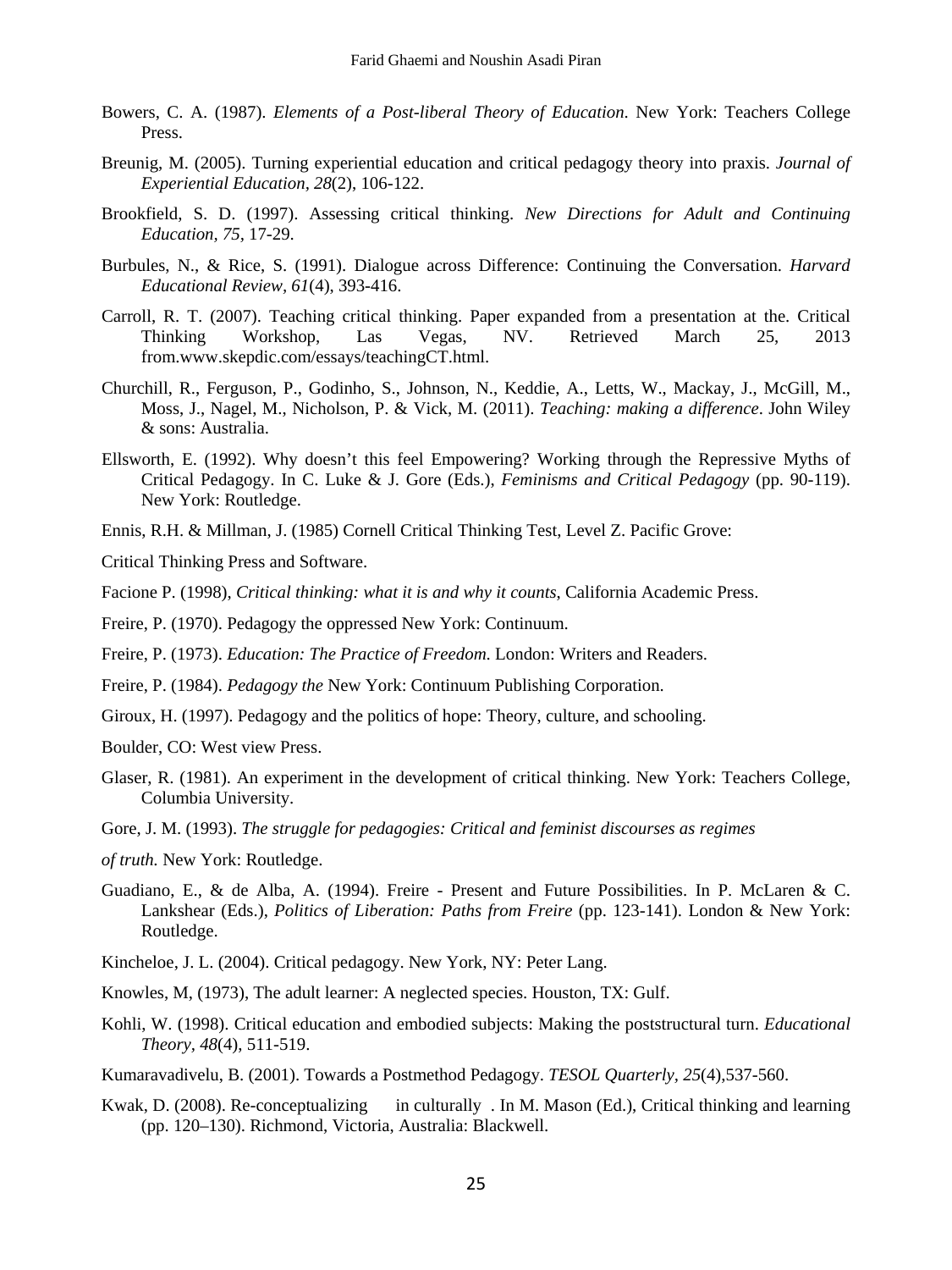- Bowers, C. A. (1987). *Elements of a Post-liberal Theory of Education*. New York: Teachers College Press.
- Breunig, M. (2005). Turning experiential education and critical pedagogy theory into praxis. *Journal of Experiential Education, 28*(2), 106-122.
- Brookfield, S. D. (1997). Assessing critical thinking. *New Directions for Adult and Continuing Education, 75,* 17-29.
- Burbules, N., & Rice, S. (1991). Dialogue across Difference: Continuing the Conversation. *Harvard Educational Review, 61*(4), 393-416.
- Carroll, R. T. (2007). Teaching critical thinking. Paper expanded from a presentation at the. Critical Thinking Workshop, Las Vegas, NV. Retrieved March 25, 2013 from.www.skepdic.com/essays/teachingCT.html.
- Churchill, R., Ferguson, P., Godinho, S., Johnson, N., Keddie, A., Letts, W., Mackay, J., McGill, M., Moss, J., Nagel, M., Nicholson, P. & Vick, M. (2011). *Teaching: making a difference*. John Wiley & sons: Australia.
- Ellsworth, E. (1992). Why doesn't this feel Empowering? Working through the Repressive Myths of Critical Pedagogy. In C. Luke & J. Gore (Eds.), *Feminisms and Critical Pedagogy* (pp. 90-119). New York: Routledge.
- Ennis, R.H. & Millman, J. (1985) Cornell Critical Thinking Test, Level Z. Pacific Grove:

Critical Thinking Press and Software.

Facione P. (1998), *Critical thinking: what it is and why it counts*, California Academic Press.

Freire, P. (1970). Pedagogy the oppressed New York: Continuum.

Freire, P. (1973). *Education: The Practice of Freedom*. London: Writers and Readers.

Freire, P. (1984). *Pedagogy the* New York: Continuum Publishing Corporation.

Giroux, H. (1997). Pedagogy and the politics of hope: Theory, culture, and schooling.

Boulder, CO: West view Press.

- Glaser, R. (1981). An experiment in the development of critical thinking. New York: Teachers College, Columbia University.
- Gore, J. M. (1993). *The struggle for pedagogies: Critical and feminist discourses as regimes*
- *of truth.* New York: Routledge.
- Guadiano, E., & de Alba, A. (1994). Freire Present and Future Possibilities. In P. McLaren & C. Lankshear (Eds.), *Politics of Liberation: Paths from Freire* (pp. 123-141). London & New York: Routledge.
- Kincheloe, J. L. (2004). Critical pedagogy. New York, NY: Peter Lang.
- Knowles, M, (1973), The adult learner: A neglected species. Houston, TX: Gulf.
- Kohli, W. (1998). Critical education and embodied subjects: Making the poststructural turn. *Educational Theory, 48*(4), 511-519.
- Kumaravadivelu, B. (2001). Towards a Postmethod Pedagogy. *TESOL Quarterly, 25*(4),537-560.
- Kwak, D. (2008). Re-conceptualizing in culturally . In M. Mason (Ed.), Critical thinking and learning (pp. 120–130). Richmond, Victoria, Australia: Blackwell.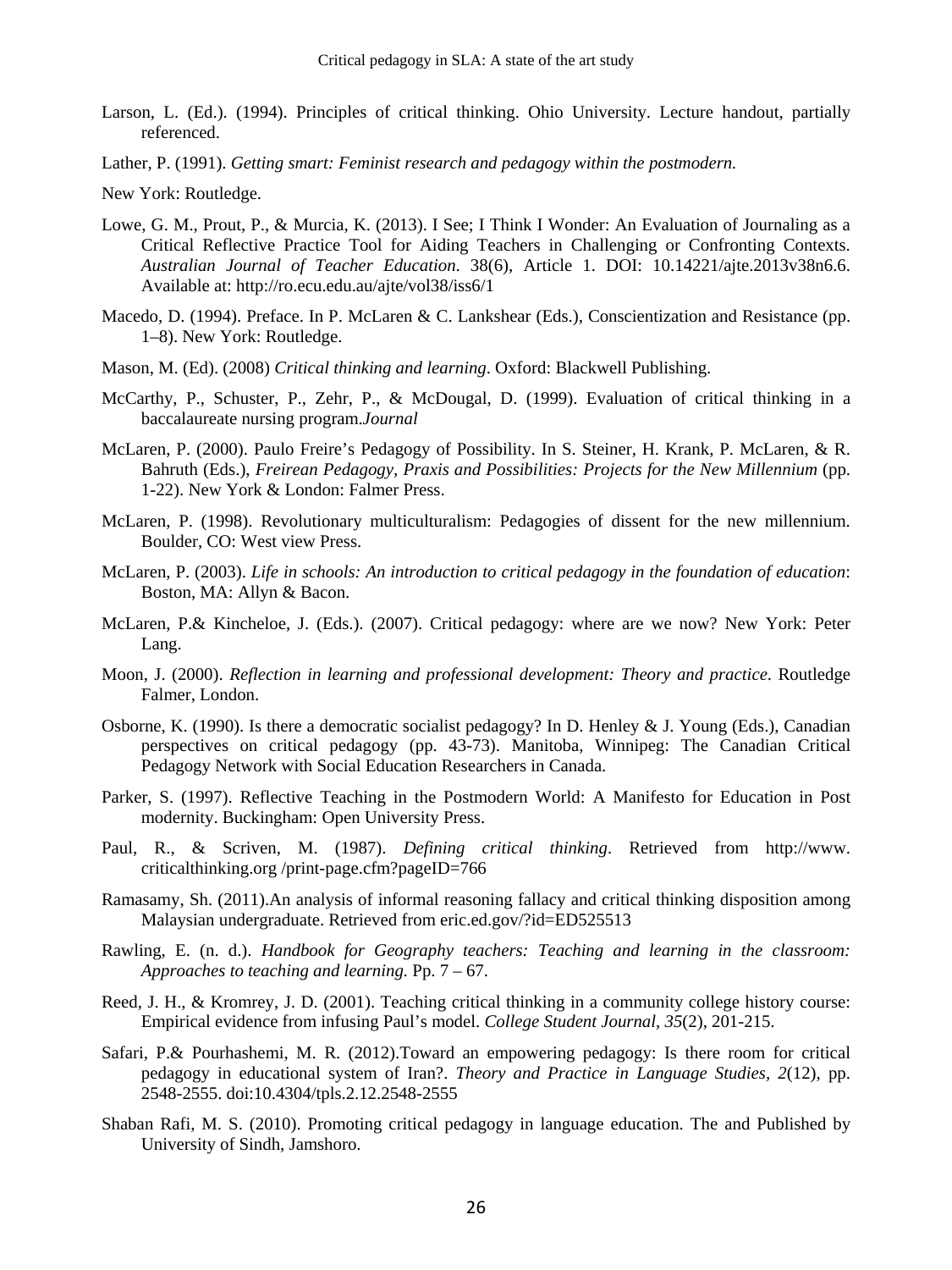- Larson, L. (Ed.). (1994). Principles of critical thinking. Ohio University. Lecture handout, partially referenced.
- Lather, P. (1991). *Getting smart: Feminist research and pedagogy within the postmodern.*

New York: Routledge.

- Lowe, G. M., Prout, P., & Murcia, K. (2013). I See; I Think I Wonder: An Evaluation of Journaling as a Critical Reflective Practice Tool for Aiding Teachers in Challenging or Confronting Contexts. *Australian Journal of Teacher Education*. 38(6), Article 1. DOI: 10.14221/ajte.2013v38n6.6. Available at: http://ro.ecu.edu.au/ajte/vol38/iss6/1
- Macedo, D. (1994). Preface. In P. McLaren & C. Lankshear (Eds.), Conscientization and Resistance (pp. 1–8). New York: Routledge.
- Mason, M. (Ed). (2008) *Critical thinking and learning*. Oxford: Blackwell Publishing.
- McCarthy, P., Schuster, P., Zehr, P., & McDougal, D. (1999). Evaluation of critical thinking in a baccalaureate nursing program.*Journal*
- McLaren, P. (2000). Paulo Freire's Pedagogy of Possibility. In S. Steiner, H. Krank, P. McLaren, & R. Bahruth (Eds.), *Freirean Pedagogy, Praxis and Possibilities: Projects for the New Millennium* (pp. 1-22). New York & London: Falmer Press.
- McLaren, P. (1998). Revolutionary multiculturalism: Pedagogies of dissent for the new millennium. Boulder, CO: West view Press.
- McLaren, P. (2003). *Life in schools: An introduction to critical pedagogy in the foundation of education*: Boston, MA: Allyn & Bacon.
- McLaren, P.& Kincheloe, J. (Eds.). (2007). Critical pedagogy: where are we now? New York: Peter Lang.
- Moon, J. (2000). *Reflection in learning and professional development: Theory and practice*. Routledge Falmer, London.
- Osborne, K. (1990). Is there a democratic socialist pedagogy? In D. Henley & J. Young (Eds.), Canadian perspectives on critical pedagogy (pp. 43-73). Manitoba, Winnipeg: The Canadian Critical Pedagogy Network with Social Education Researchers in Canada.
- Parker, S. (1997). Reflective Teaching in the Postmodern World: A Manifesto for Education in Post modernity. Buckingham: Open University Press.
- Paul, R., & Scriven, M. (1987). *Defining critical thinking*. Retrieved from http://www. criticalthinking.org /print-page.cfm?pageID=766
- Ramasamy, Sh. (2011).An analysis of informal reasoning fallacy and critical thinking disposition among Malaysian undergraduate. Retrieved from eric.ed.gov/?id=ED525513
- Rawling, E. (n. d.). *Handbook for Geography teachers: Teaching and learning in the classroom: Approaches to teaching and learning.* Pp. 7 – 67.
- Reed, J. H., & Kromrey, J. D. (2001). Teaching critical thinking in a community college history course: Empirical evidence from infusing Paul's model. *College Student Journal, 35*(2), 201-215.
- Safari, P.& Pourhashemi, M. R. (2012).Toward an empowering pedagogy: Is there room for critical pedagogy in educational system of Iran?. *Theory and Practice in Language Studies, 2*(12), pp. 2548-2555. doi:10.4304/tpls.2.12.2548-2555
- Shaban Rafi, M. S. (2010). Promoting critical pedagogy in language education. The and Published by University of Sindh, Jamshoro.